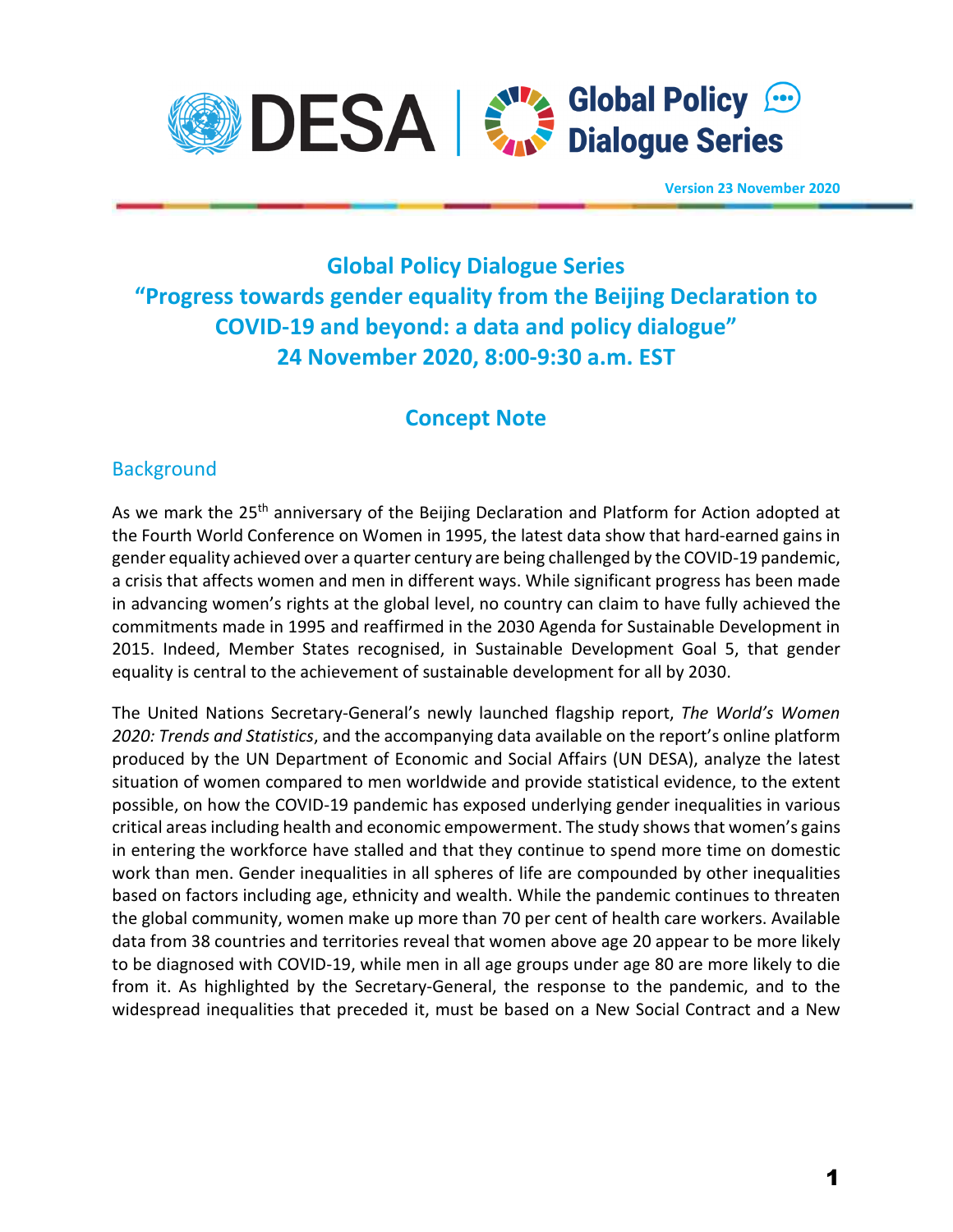

**Version 23 November 2020**

# **Global Policy Dialogue Series "Progress towards gender equality from the Beijing Declaration to COVID-19 and beyond: a data and policy dialogue" 24 November 2020, 8:00-9:30 a.m. EST**

## **Concept Note**

## **Background**

As we mark the 25<sup>th</sup> anniversary of the Beijing Declaration and Platform for Action adopted at the Fourth World Conference on Women in 1995, the latest data show that hard-earned gains in gender equality achieved over a quarter century are being challenged by the COVID-19 pandemic, a crisis that affects women and men in different ways. While significant progress has been made in advancing women's rights at the global level, no country can claim to have fully achieved the commitments made in 1995 and reaffirmed in the 2030 Agenda for Sustainable Development in 2015. Indeed, Member States recognised, in Sustainable Development Goal 5, that gender equality is central to the achievement of sustainable development for all by 2030.

The United Nations Secretary-General's newly launched flagship report, *The World's Women 2020: Trends and Statistics*, and the accompanying data available on the report's online platform produced by the UN Department of Economic and Social Affairs (UN DESA), analyze the latest situation of women compared to men worldwide and provide statistical evidence, to the extent possible, on how the COVID-19 pandemic has exposed underlying gender inequalities in various critical areas including health and economic empowerment. The study shows that women's gains in entering the workforce have stalled and that they continue to spend more time on domestic work than men. Gender inequalities in all spheres of life are compounded by other inequalities based on factors including age, ethnicity and wealth. While the pandemic continues to threaten the global community, women make up more than 70 per cent of health care workers. Available data from 38 countries and territories reveal that women above age 20 appear to be more likely to be diagnosed with COVID-19, while men in all age groups under age 80 are more likely to die from it. As highlighted by the Secretary-General, the response to the pandemic, and to the widespread inequalities that preceded it, must be based on a New Social Contract and a New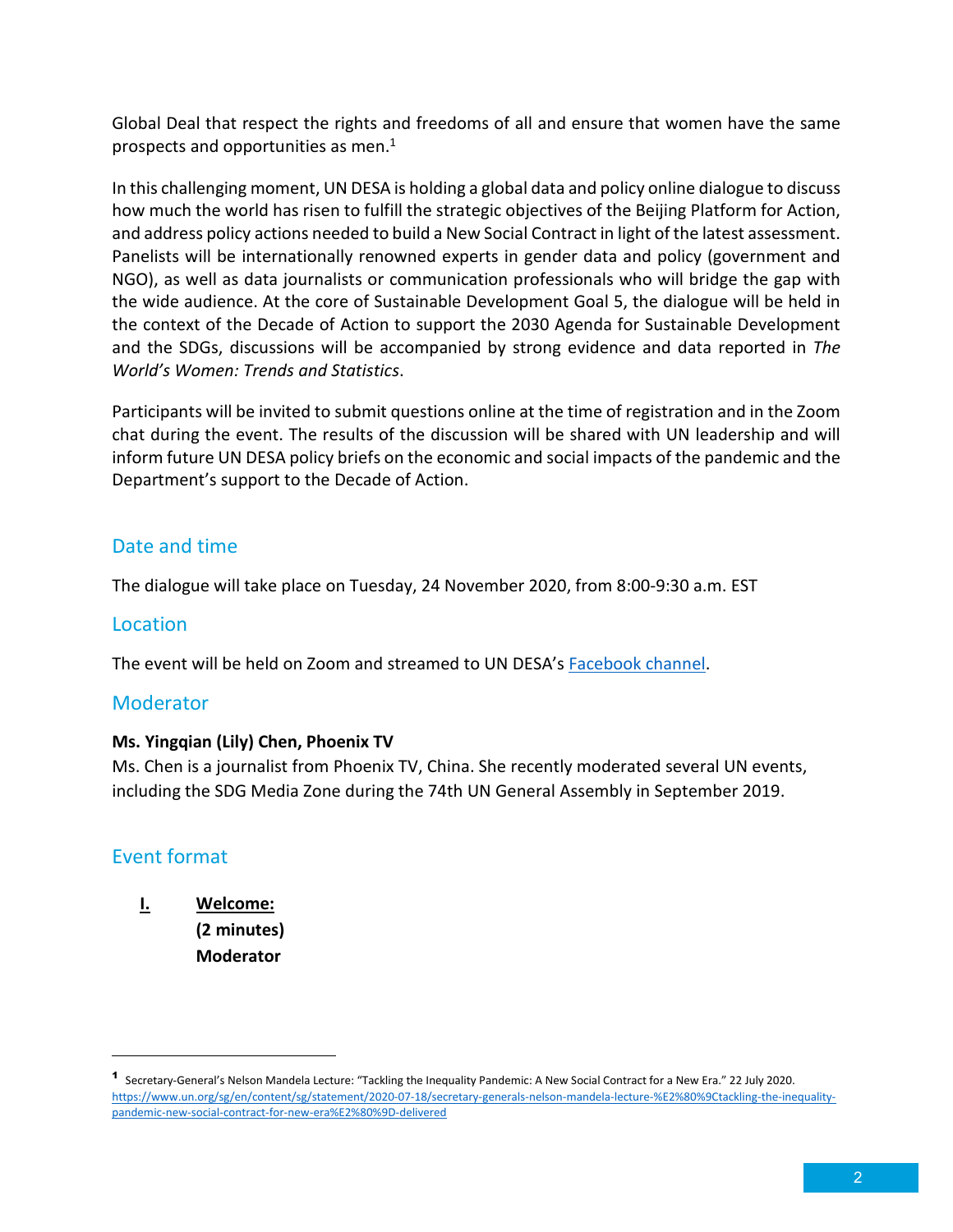Global Deal that respect the rights and freedoms of all and ensure that women have the same prospects and opportunities as men. $<sup>1</sup>$ </sup>

In this challenging moment, UN DESA is holding a global data and policy online dialogue to discuss how much the world has risen to fulfill the strategic objectives of the Beijing Platform for Action, and address policy actions needed to build a New Social Contract in light of the latest assessment. Panelists will be internationally renowned experts in gender data and policy (government and NGO), as well as data journalists or communication professionals who will bridge the gap with the wide audience. At the core of Sustainable Development Goal 5, the dialogue will be held in the context of the Decade of Action to support the 2030 Agenda for Sustainable Development and the SDGs, discussions will be accompanied by strong evidence and data reported in *The World's Women: Trends and Statistics*.

Participants will be invited to submit questions online at the time of registration and in the Zoom chat during the event. The results of the discussion will be shared with UN leadership and will inform future UN DESA policy briefs on the economic and social impacts of the pandemic and the Department's support to the Decade of Action.

## Date and time

The dialogue will take place on Tuesday, 24 November 2020, from 8:00-9:30 a.m. EST

#### Location

The event will be held on Zoom and streamed to UN DESA's Facebook channel.

#### Moderator

#### **Ms. Yingqian (Lily) Chen, Phoenix TV**

Ms. Chen is a journalist from Phoenix TV, China. She recently moderated several UN events, including the SDG Media Zone during the 74th UN General Assembly in September 2019.

### Event format

## **I. Welcome: (2 minutes) Moderator**

<sup>1</sup> Secretary-General's Nelson Mandela Lecture: "Tackling the Inequality Pandemic: A New Social Contract for a New Era." 22 July 2020. https://www.un.org/sg/en/content/sg/statement/2020-07-18/secretary-generals-nelson-mandela-lecture-%E2%80%9Ctackling-the-inequalitypandemic-new-social-contract-for-new-era%E2%80%9D-delivered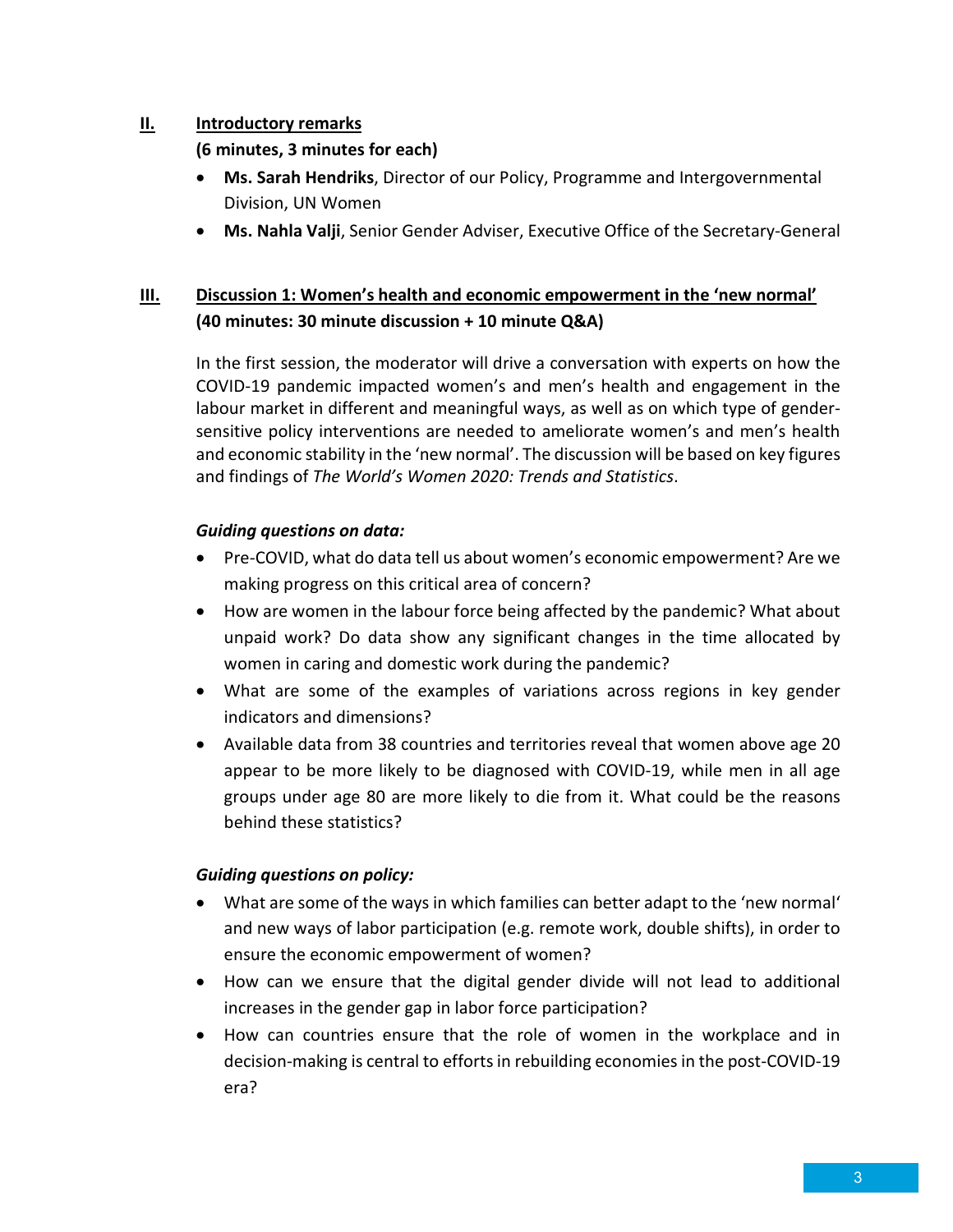#### **II. Introductory remarks**

**(6 minutes, 3 minutes for each)** 

- **Ms. Sarah Hendriks**, Director of our Policy, Programme and Intergovernmental Division, UN Women
- **Ms. Nahla Valji**, Senior Gender Adviser, Executive Office of the Secretary-General

## **III. Discussion 1: Women's health and economic empowerment in the 'new normal' (40 minutes: 30 minute discussion + 10 minute Q&A)**

In the first session, the moderator will drive a conversation with experts on how the COVID-19 pandemic impacted women's and men's health and engagement in the labour market in different and meaningful ways, as well as on which type of gendersensitive policy interventions are needed to ameliorate women's and men's health and economic stability in the 'new normal'. The discussion will be based on key figures and findings of *The World's Women 2020: Trends and Statistics*.

#### *Guiding questions on data:*

- Pre-COVID, what do data tell us about women's economic empowerment? Are we making progress on this critical area of concern?
- How are women in the labour force being affected by the pandemic? What about unpaid work? Do data show any significant changes in the time allocated by women in caring and domestic work during the pandemic?
- What are some of the examples of variations across regions in key gender indicators and dimensions?
- Available data from 38 countries and territories reveal that women above age 20 appear to be more likely to be diagnosed with COVID-19, while men in all age groups under age 80 are more likely to die from it. What could be the reasons behind these statistics?

#### *Guiding questions on policy:*

- What are some of the ways in which families can better adapt to the 'new normal' and new ways of labor participation (e.g. remote work, double shifts), in order to ensure the economic empowerment of women?
- How can we ensure that the digital gender divide will not lead to additional increases in the gender gap in labor force participation?
- How can countries ensure that the role of women in the workplace and in decision-making is central to efforts in rebuilding economies in the post-COVID-19 era?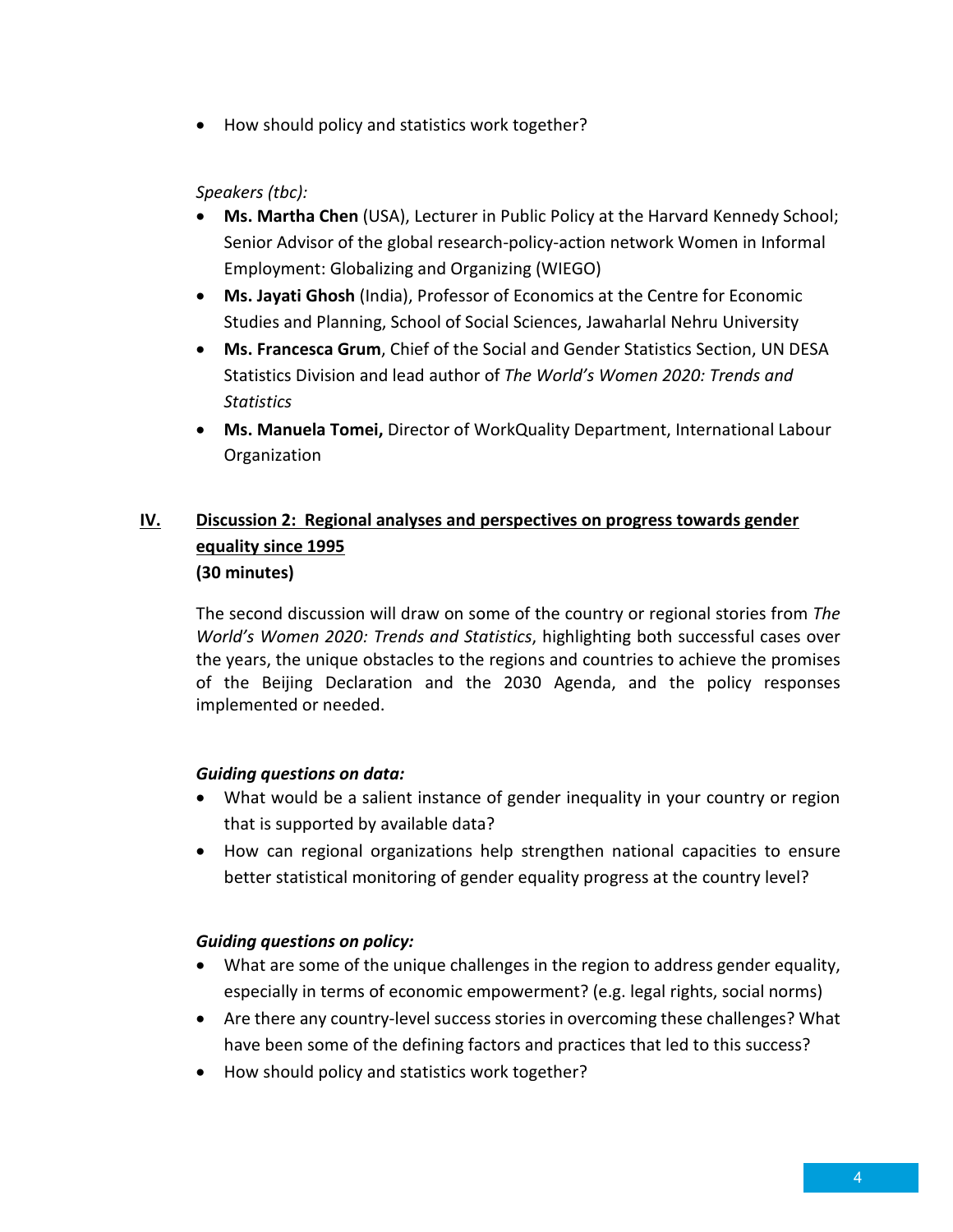• How should policy and statistics work together?

#### *Speakers (tbc):*

- **Ms. Martha Chen** (USA), Lecturer in Public Policy at the Harvard Kennedy School; Senior Advisor of the global research-policy-action network Women in Informal Employment: Globalizing and Organizing (WIEGO)
- **Ms. Jayati Ghosh** (India), Professor of Economics at the Centre for Economic Studies and Planning, School of Social Sciences, Jawaharlal Nehru University
- **Ms. Francesca Grum**, Chief of the Social and Gender Statistics Section, UN DESA Statistics Division and lead author of *The World's Women 2020: Trends and Statistics*
- **Ms. Manuela Tomei,** Director of WorkQuality Department, International Labour Organization

## **IV. Discussion 2: Regional analyses and perspectives on progress towards gender equality since 1995 (30 minutes)**

The second discussion will draw on some of the country or regional stories from *The World's Women 2020: Trends and Statistics*, highlighting both successful cases over the years, the unique obstacles to the regions and countries to achieve the promises of the Beijing Declaration and the 2030 Agenda, and the policy responses implemented or needed.

#### *Guiding questions on data:*

- What would be a salient instance of gender inequality in your country or region that is supported by available data?
- How can regional organizations help strengthen national capacities to ensure better statistical monitoring of gender equality progress at the country level?

#### *Guiding questions on policy:*

- What are some of the unique challenges in the region to address gender equality, especially in terms of economic empowerment? (e.g. legal rights, social norms)
- Are there any country-level success stories in overcoming these challenges? What have been some of the defining factors and practices that led to this success?
- How should policy and statistics work together?